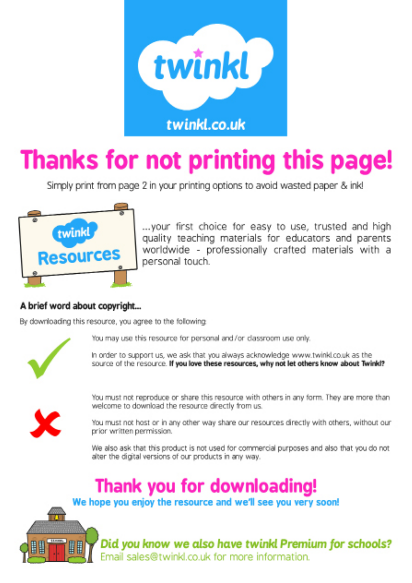

# Thanks for not printing this page!

Simply print from page 2 in your printing options to avoid wasted paper & inkl



... your first choice for easy to use, trusted and high quality teaching materials for educators and parents worldwide - professionally crafted materials with a personal touch.

#### A brief word about copyright...

By downloading this resource, you agree to the following



You may use this resource for personal and/or classroom use only.

In order to support us, we ask that you always acknowledge www.twinkl.co.uk as the source of the resource. If you love these resources, why not let others know about Twink!?



You must not reproduce or share this resource with others in any form. They are more than welcome to download the resource directly from us.

You must not host or in any other way share our resources directly with others, without our prior written permission.

We also ask that this product is not used for commercial purposes and also that you do not alter the digital versions of our products in any way.

## Thank you for downloading!

We hope you enjoy the resource and we'll see you very soon!



Did you know we also have twinkl Premium for schools? Email sales@twinkl.co.uk for more information.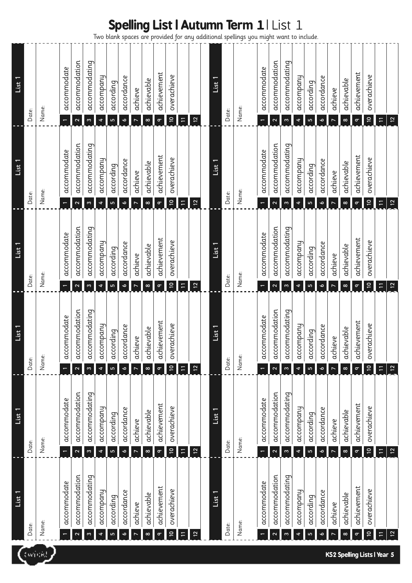Two blank spaces are provided for any additional spellings you might want to include.

|                                    | List                                     | List 1                                 | List 1                                                  | List 1                                                  | List 1                                                  | List 1                                     |
|------------------------------------|------------------------------------------|----------------------------------------|---------------------------------------------------------|---------------------------------------------------------|---------------------------------------------------------|--------------------------------------------|
|                                    | Date:                                    | Date:                                  | Date:                                                   | Date:                                                   | Date:                                                   | Date:                                      |
| twickl                             | Name:                                    | Name:                                  | Name:                                                   | Name:                                                   | Name:                                                   | Name:                                      |
|                                    | accommodate                              | accommodate                            | accommodate                                             | accommodate                                             | accommodate                                             | accommodate                                |
|                                    | accommodation<br>$\mathbf{\Omega}$       | accommodation<br>$\boldsymbol{\sim}$   | accommodation<br>$\boldsymbol{\sim}$                    | accommodation<br>$\mathbf{\Omega}$                      | accommodation<br>$\mathbf{\tilde{c}}$                   | accommodation<br>$\mathbf{\Omega}$         |
|                                    | accommodating<br>w                       | accommodating<br>$\boldsymbol{\omega}$ | accommodating<br>$\boldsymbol{\mathsf{m}}$              | accommodating<br>$\boldsymbol{\omega}$                  | accommodating<br>$\boldsymbol{\infty}$                  | accommodating<br>$\boldsymbol{\mathsf{m}}$ |
|                                    | accompany<br>4                           | accompany<br>$\ddot{\phantom{0}}$      | accompany<br>4                                          | accompany<br>¢                                          | accompany<br>4                                          | accompany<br>4                             |
|                                    | according<br>Б                           | according<br>LŊ                        | according<br>LŊ                                         | according<br>LŊ                                         | according<br>LŊ                                         | according<br>Lŋ                            |
|                                    | accordance<br>o                          | accordance<br>o                        | accordance<br>o                                         | accordance<br>o                                         | accordance<br>$\bullet$                                 | accordance<br>$\bullet$                    |
|                                    | achieve                                  | achieve<br>N                           | achieve                                                 | achieve<br>$\overline{ }$                               | achieve                                                 | achieve                                    |
|                                    | achievable<br>$\infty$                   | achievable<br>$\infty$                 | <i><b>uievable</b></i><br>ਉ<br>$\infty$                 | achievable<br>$\infty$                                  | achievable<br>$\infty$                                  | achievable<br>$\infty$                     |
|                                    | achievement<br>$\sigma$                  | achievement<br>$\sigma$                | <i><b>uievement</b></i><br>ਹੋ<br>$\sigma$               | achievement<br>$\sigma$                                 | achievement<br>$\sigma$                                 | achievement<br>$\sigma$                    |
|                                    | overachieve<br>$\overline{\mathsf{C}}$   | overachieve<br>$\overline{\mathsf{C}}$ | overachieve<br>$\overline{\mathsf{c}}$                  | overachieve<br>$\mathrel{\mathop{\mathsf{e}}\nolimits}$ | overachieve<br>$\overline{\mathsf{C}}$                  | overachieve<br>$\tilde{\mathbf{c}}$        |
|                                    | $\Xi$                                    | $\Box$                                 | $\equiv$                                                | $\equiv$                                                | $\equiv$                                                | $\equiv$                                   |
|                                    | 12                                       | $\overline{2}$                         | 12                                                      | 12                                                      | 12                                                      | 12                                         |
|                                    |                                          |                                        |                                                         |                                                         |                                                         |                                            |
|                                    | List 1                                   | List 1                                 | List 1                                                  | List 1                                                  | List 1                                                  | List 1                                     |
|                                    | Date:                                    | Date:                                  | Date:                                                   | Date:                                                   | Date:                                                   | Date:                                      |
|                                    | Name:                                    | Name:                                  | Name:                                                   | Name:                                                   | Name:                                                   | Name:                                      |
|                                    | accommodate<br>$\overline{\phantom{0}}$  | accommodate                            | accommodate                                             | accommodate                                             | accommodate<br>$\overline{\phantom{0}}$                 | accommodate<br>$\leftarrow$                |
|                                    | accommodation<br>$\overline{\mathbf{c}}$ | accommodation<br>$\boldsymbol{\sim}$   | accommodation<br>$\mathbf{a}$                           | accommodation<br>2                                      | accommodation<br>$\sim$                                 | accommodation<br>$\boldsymbol{\sim}$       |
|                                    | accommodating<br>w                       | accommodating<br>$\infty$              | accommodating<br>$\omega$                               | accommodating<br>$\infty$                               | accommodating<br>$\infty$                               | accommodating<br>$\omega$                  |
|                                    | accompany<br>4                           | accompany<br>4                         | accompany<br>4                                          | accompany<br>4                                          | accompany<br>4                                          | accompany<br>$\blacktriangleleft$          |
|                                    | according<br>LŊ                          | according<br>LO                        | according<br>Lŋ                                         | according<br>۱                                          | according<br>Lŋ                                         | according<br>LO                            |
|                                    | accordance<br>$\bullet$                  | accordance<br>$\bullet$                | accordance<br>Ó                                         | accordance<br>Ó                                         | accordance<br>$\bullet$                                 | accordance<br>$\bullet$                    |
|                                    | achieve<br>$\overline{ }$                | achieve<br>$\overline{ }$              | achieve<br>$\overline{ }$                               | achieve<br>$\overline{ }$                               | achieve<br>$\overline{ }$                               | achieve<br>$\overline{ }$                  |
|                                    | achievable<br>$\infty$                   | achievable<br>$\infty$                 | hievable<br>ਦੁ<br>$\infty$                              | achievable<br>$\infty$                                  | achievable<br>$\infty$                                  | achievable<br>$\infty$                     |
|                                    | achievement<br>$\sigma$                  | achievement<br>$\sigma$                | achievement<br>$\sigma$                                 | achievement<br>$\sigma$                                 | achievement<br>$\sigma$                                 | achievement<br>$\sigma$                    |
|                                    | overachieve<br>$\overline{5}$            | overachieve<br>$\tilde{\mathbf{a}}$    | overachieve<br>$\mathrel{\mathop{\mathsf{e}}\nolimits}$ | overachieve<br>$\overline{a}$                           | overachieve<br>$\mathrel{\mathop{\mathsf{e}}\nolimits}$ | overachieve<br>$\overline{a}$              |
| <b>KS2 Spelling Lists I Year 5</b> | Ξ                                        | Ξ                                      | $\Xi$                                                   |                                                         | $\Xi$                                                   | $\Xi$                                      |
|                                    | $\overline{12}$                          | $\overline{12}$                        | $\overline{12}$                                         | $\overline{12}$                                         | 12                                                      | $\overline{12}$                            |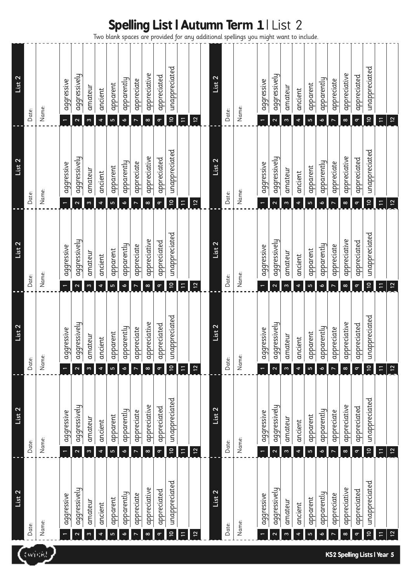Two blank spaces are provided for any additional spellings you might want to include.

|        | List <sub>2</sub>                     | List 2                                                    | List 2                                                    | List 2                               | List 2                                                    | List 2                                 |
|--------|---------------------------------------|-----------------------------------------------------------|-----------------------------------------------------------|--------------------------------------|-----------------------------------------------------------|----------------------------------------|
|        | Date:                                 | Date:                                                     | Date:                                                     | Date:                                | Date:                                                     | Date:                                  |
| twickl | Name:                                 | Name:                                                     | Name:                                                     | Name:                                | Name:                                                     | Name:                                  |
|        | aggressive                            | aggressive<br>$\overline{\phantom{0}}$                    | gressive<br>ğ<br>$\leftarrow$                             | aggressive                           | aggressive                                                | aggressive<br>$\leftarrow$             |
|        | aggressively<br>$\mathbf{\Omega}$     | aggressively<br>$\mathbf{\Omega}$                         | gressively<br>g<br>$\mathbf{\Omega}$                      | aggressively<br>$\mathbf{\Omega}$    | aggressively<br>$\mathbf{\Omega}$                         | aggressively<br>$\mathbf{\Omega}$      |
|        | amateur<br>$\boldsymbol{\omega}$      | amateur<br>$\boldsymbol{\omega}$                          | rateur<br>E<br>$\boldsymbol{\mathsf{m}}$                  | amateur<br>$\boldsymbol{\mathsf{m}}$ | amateur<br>$\boldsymbol{\mathsf{m}}$                      | amateur<br>$\boldsymbol{\mathsf{m}}$   |
|        | ancient<br>$\blacktriangleleft$       | ancient<br>$\blacktriangleleft$                           | ancient<br>4                                              | ancient<br>4                         | ancient<br>$\blacktriangleleft$                           | ancient<br>$\blacktriangleleft$        |
|        | apparent<br>$\mathsf{L}\Omega$        | apparent<br>$\mathbf{r}$                                  | parent<br>무<br>Lŋ                                         | apparent<br>Б                        | apparent<br>$\mathsf{L}\Omega$                            | apparent<br>$\mathsf{L}\Omega$         |
|        | apparently<br>o                       | apparently<br>o                                           | parently<br>g<br>o                                        | apparently<br>o                      | apparently<br>o                                           | apparently<br>o                        |
|        | appreciate                            | appreciate<br>$\overline{ }$                              | preciate<br>$\overline{q}$                                | appreciate                           | appreciate                                                | appreciate                             |
|        | appreciative<br>$\infty$              | appreciative<br>$\infty$                                  | preciative<br>$\overline{q}$<br>∞                         | appreciative<br>∞                    | appreciative<br>$\infty$                                  | appreciative<br>$\infty$               |
|        | appreciated<br>$\sigma$               | appreciated<br>$\sigma$                                   | preciated<br>$\overline{a}$<br>$\sigma$                   | appreciated<br>$\sigma$              | appreciated<br>$\sigma$                                   | appreciated<br>$\sigma$                |
|        | unappreciated<br>$\overline{c}$       | unappreciated<br>$\overline{\mathsf{c}}$                  | unappreciated<br>$\overline{\mathsf{c}}$                  | unappreciated<br>$\tilde{a}$         | unappreciated<br>$\tilde{\mathbf{c}}$                     | unappreciated<br>$\overline{a}$        |
|        | $\Xi$                                 | $\Box$                                                    | $\Box$                                                    | $\overline{1}$                       | $\overline{1}$                                            | $\equiv$                               |
|        | 12                                    | $\overline{12}$                                           | $\overline{12}$                                           | 12                                   | 12                                                        | $\overline{c}$                         |
|        |                                       |                                                           |                                                           |                                      |                                                           |                                        |
|        | $\overline{\text{List 2}}$            | List 2                                                    | List 2                                                    | List 2                               | List <sub>2</sub>                                         | List 2                                 |
|        | Date:                                 | Date:                                                     | Date:                                                     | Date:                                | Date:                                                     | Date:                                  |
|        | Name:                                 | Name:                                                     | Name:                                                     | Name:                                | Name:                                                     | Name:                                  |
|        | aggressive                            | aggressive                                                | gressive<br>ğ                                             | aggressive                           | aggressive                                                | aggressive<br>$\overline{\phantom{0}}$ |
|        | aggressively<br>$\mathbf{a}$          | aggressively<br>$\boldsymbol{\sim}$                       | gressively<br>ğ<br>$\boldsymbol{\sim}$                    | aggressively<br>2                    | aggressively<br>$\boldsymbol{\sim}$                       | aggressively<br>$\sim$                 |
|        | amateur<br>$\infty$                   | amateur<br>$\omega$                                       | rateur<br>ξ<br>$\omega$                                   | amateur<br>$\infty$                  | amateur<br>$\omega$                                       | amateur<br>$\infty$                    |
|        | ancient<br>4                          | ancient<br>4                                              | ancient<br>4                                              | ancient<br>4                         | ancient<br>¢                                              | ancient<br>4                           |
|        | apparent<br>۱                         | apparent<br>LO                                            | parent<br>g<br>LO                                         | apparent<br>S                        | apparent<br>۱                                             | apparent<br>LŊ                         |
|        | apparently<br>$\bullet$               | apparently<br>$\bullet$                                   | parently<br>$\frac{1}{9}$<br>Ó                            | apparently<br>o                      | apparently<br>Ó                                           | apparently<br>Ó                        |
|        | appreciate<br>$\overline{ }$          | appreciate<br>$\overline{ }$                              | preciate<br>gb<br>r,                                      | appreciate<br>$\overline{ }$         | appreciate<br>$\overline{ }$                              | appreciate<br>$\overline{ }$           |
|        | appreciative<br>$\infty$              | appreciative<br>$\infty$                                  | preciative<br>$\overline{q}$<br>$\infty$                  | appreciative<br>$\infty$             | appreciative<br>$\infty$                                  | appreciative<br>$\infty$               |
|        | appreciated<br>$\sigma$               | appreciated<br>$\sigma$                                   | preciated<br>g<br>$\sigma$                                | appreciated<br>$\sigma$              | appreciated<br>$\sigma$                                   | appreciated<br>$\sigma$                |
|        | unappreciated<br>$\tilde{\mathbf{c}}$ | unappreciated<br>$\mathrel{\mathop{\mathsf{e}}\nolimits}$ | unappreciated<br>$\mathrel{\mathop{\mathsf{e}}\nolimits}$ | unappreciated<br>$\overline{a}$      | unappreciated<br>$\mathrel{\mathop{\mathsf{e}}\nolimits}$ | unappreciated<br>$\tilde{\mathbf{c}}$  |
|        | $\Xi$                                 | $\Xi$                                                     | $\Xi$                                                     | Ξ                                    | H                                                         | $\Xi$                                  |
|        | $\overline{12}$                       | $\frac{12}{2}$                                            | $\overline{12}$                                           | 12                                   | $\overline{12}$                                           | $\overline{12}$                        |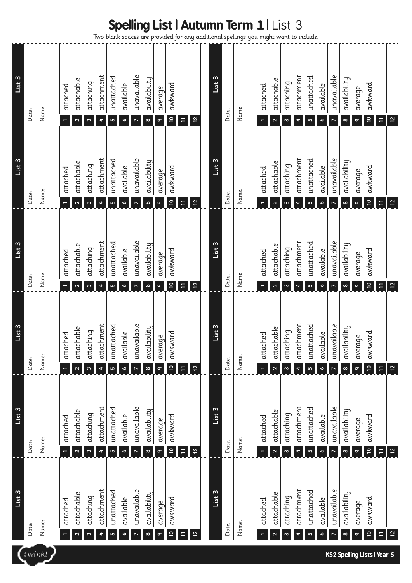|                   |       |       |          |                                         |                       |                                        |                  |                        |                                                     |                          |                     |                                                     |                   |                |                   |       | <b>Spelling List   Autumn Term 1   List 3</b><br>Two blank spaces are provided for any additional spellings you might want to include. |          |                                         |                       |                                    |                  |                        |                                                   |                          |                     |                                                     |                                             |                         |
|-------------------|-------|-------|----------|-----------------------------------------|-----------------------|----------------------------------------|------------------|------------------------|-----------------------------------------------------|--------------------------|---------------------|-----------------------------------------------------|-------------------|----------------|-------------------|-------|----------------------------------------------------------------------------------------------------------------------------------------|----------|-----------------------------------------|-----------------------|------------------------------------|------------------|------------------------|---------------------------------------------------|--------------------------|---------------------|-----------------------------------------------------|---------------------------------------------|-------------------------|
| List <sub>3</sub> | Date: | Name: | attached | attachable<br>2                         | attaching<br>$\infty$ | attachment<br>4                        | unattached<br>LŊ | available<br>Ó         | unavailable<br>$\overline{ }$                       | availability<br>$\infty$ | average<br>$\sigma$ | awkward<br>$\mathrel{\mathop{\mathsf{e}}\nolimits}$ | $\equiv$          | 12             | List <sub>3</sub> | Date: | Name:                                                                                                                                  | attached | attachable<br>$\mathbf{\Omega}$         | attaching<br>$\infty$ | attachment<br>$\blacktriangleleft$ | unattached<br>S  | available<br>$\bullet$ | unavailable<br>N                                  | availability<br>$\infty$ | average<br>$\sigma$ | awkward<br>$\mathrel{\mathop{\mathsf{e}}\nolimits}$ | $\overline{\phantom{a}}$                    | $\overline{\mathbf{c}}$ |
| List <sub>3</sub> | Date: | Name: | attached | attachable<br>2                         | attaching<br>$\infty$ | attachment<br>$\blacktriangleleft$     | unattached<br>Б  | available<br>$\bullet$ | unavailable                                         | availability<br>$\infty$ | average<br>$\sigma$ | awkward<br>$\mathop{=}^{\mathop{}}$                 | Ξ                 | 12             | List 3            | Date: | Name:                                                                                                                                  | attached | attachable<br>$\mathbf{\tilde{c}}$      | attaching<br>$\infty$ | attachment<br>$\blacktriangleleft$ | unattached<br>ء  | available<br>Ó         | unavailable<br>$\overline{ }$                     | availability<br>$\infty$ | average<br>$\sigma$ | awkward<br>$\mathrel{\mathop{\mathsf{e}}\nolimits}$ | Ξ                                           | $\overline{\mathsf{L}}$ |
| List 3            | Date: | Name: | attached | attachable<br>$\mathbf{\Omega}$         | attaching<br>$\infty$ | attachment<br>$\blacktriangleleft$     | unattached<br>۱  | available<br>$\bullet$ | unavailable<br>$\overline{ }$                       | availability<br>$\infty$ | average<br>$\sigma$ | awkward<br>$\mathrel{\mathop{\mathsf{e}}\nolimits}$ | $\overline{\Box}$ | 12             | List 3            | Date: | Name:                                                                                                                                  | attached | attachable<br>$\mathbf{\tilde{c}}$      | attaching<br>$\infty$ | attachment<br>$\blacktriangleleft$ | unattached<br>Б  | available<br>Ó         | unavailable<br>$\triangleright$                   | availability<br>$\infty$ | average<br>$\sigma$ | awkward<br>$\mathrel{\mathop{\mathsf{e}}\nolimits}$ | $\Xi$                                       | $12$                    |
| List              | Date: | Name: | attached | attachable<br>$\boldsymbol{\mathsf{c}}$ | attaching<br>$\infty$ | ゼ<br>attachmer<br>$\ddot{\phantom{0}}$ | unattached<br>LO | available<br>$\bullet$ | $\mathbf{\omega}$<br>unavailabl<br>$\triangleright$ | availabilitu<br>$\infty$ | average<br>$\sigma$ | awkward<br>$\mathrel{\mathop{\mathsf{e}}\nolimits}$ | $\equiv$          | $\overline{2}$ | List              | Date: | Name:                                                                                                                                  | attached | attachable<br>$\boldsymbol{\mathsf{c}}$ | attaching<br>$\infty$ | ゼ<br>attachmer<br>¢                | unattached<br>Lŋ | available<br>Ó         | $\mathbf{\omega}$<br>unavailabl<br>$\overline{ }$ | availabilitu<br>$\infty$ | average<br>$\sigma$ | awkward<br>$\tilde{\mathbf{c}}$                     | $\Xi$                                       | $\frac{1}{2}$           |
| List 3            | Date: | Name: | attached | attachable                              | attaching             | attachment                             | unattached       | available              | unavailable                                         | availability             | average             | awkward                                             |                   |                | List <sub>3</sub> | Date: | Name:                                                                                                                                  | attached | attachable                              | attaching             | attachment                         | unattached       | available              | unavailable                                       | availability             | average             | awkward                                             |                                             |                         |
| List <sub>3</sub> | Date: | Name: | attached | $\boldsymbol{\mathsf{c}}$<br>attachable | $\infty$<br>attaching | $\blacktriangleleft$<br>attachment     | LO<br>unattached | $\bullet$<br>available | $\triangleright$<br>unavailable                     | $\infty$<br>availability | $\sigma$<br>average | $\mathrel{\mathop{\mathsf{e}}\nolimits}$<br>awkward | $\equiv$          | $\overline{2}$ | List <sub>3</sub> | Date: | Name:                                                                                                                                  | attached | $\boldsymbol{\mathsf{c}}$<br>attachable | $\infty$<br>attaching | $\ddot{\phantom{0}}$<br>attachment | G<br>unattached  | Ó<br>available         | $\triangleright$<br>unavailable                   | $\infty$<br>availability | $\sigma$<br>average | $\tilde{\Xi}$<br>awkward                            | $\Xi$                                       | $\overline{12}$         |
|                   |       |       |          | 2                                       | m                     | 4                                      | 5                | ۰                      | $\overline{ }$                                      | $\infty$                 | $\sigma$            | $\mathrel{\mathop{\mathsf{e}}\nolimits}$            | $\equiv$          | 12             |                   |       |                                                                                                                                        |          | $\mathbf{\Omega}$                       | m                     | 4                                  | ١                | o                      | $\triangleright$                                  | $\infty$                 | $\sigma$            | $\overline{\mathsf{C}}$                             | $\Xi$<br><b>KS2 Spelling Lists I Year 5</b> | $\overline{12}$         |

### **KS2 Spelling Lists | Year 5**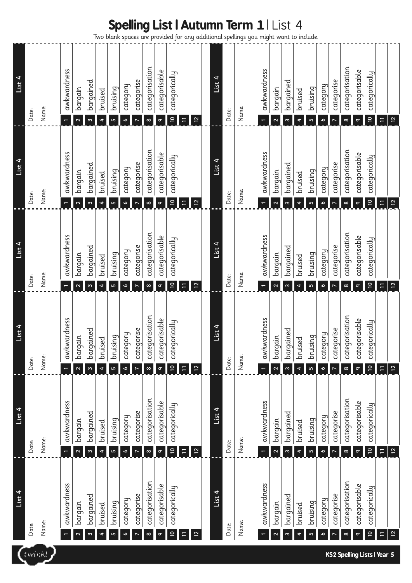### **Spelling List | Autumn Term 1** | List 4

Two blank spaces are provided for any additional spellings you might want to include.

|                                    | List 4                                   | List 4                                                    | List 4                                                        | List 4                                                    | List 4                                                    | List 4                                                    |
|------------------------------------|------------------------------------------|-----------------------------------------------------------|---------------------------------------------------------------|-----------------------------------------------------------|-----------------------------------------------------------|-----------------------------------------------------------|
| twickl                             | Date:                                    | Date:                                                     | Date:                                                         | Date:                                                     | Date:                                                     | Date:                                                     |
|                                    | Name:                                    | Name:                                                     | Name:                                                         | Name:                                                     | Name:                                                     | Name:                                                     |
|                                    | awkwardness                              | awkwardness                                               | kwardness<br>$\overline{a}$                                   | awkwardness<br>$\leftarrow$                               | awkwardness<br>$\overline{\phantom{0}}$                   | awkwardness<br>$\overline{\phantom{0}}$                   |
|                                    | bargain<br>$\mathbf{\Omega}$             | bargain<br>$\mathbf{\Omega}$                              | rgain<br>bar<br>$\mathbf{\Omega}$                             | bargain<br>$\mathbf{\Omega}$                              | bargain<br>$\mathbf{\Omega}$                              | bargain<br>$\mathbf{\Omega}$                              |
|                                    | bargained<br>S                           | bargained<br>$\boldsymbol{\varsigma}$                     | rgained<br>tar<br>w                                           | bargained<br>$\omega$                                     | bargained<br>$\omega$                                     | bargained<br>$\omega$                                     |
|                                    | bruised<br>4                             | bruised<br>4                                              | bruised<br>4                                                  | bruised<br>$\ddot{\phantom{1}}$                           | bruised<br>$\ddot{\phantom{1}}$                           | bruised<br>4                                              |
|                                    | bruising<br>١                            | bruising<br>۱                                             | Lising<br>ud<br>١                                             | bruising<br>$\mathbf{r}$                                  | bruising<br>LО                                            | bruising<br>$\mathbf{r}$                                  |
|                                    | category<br>ó                            | category<br>$\bullet$                                     | Fioba<br>cat<br>$\bullet$                                     | category<br>$\bullet$                                     | category<br>$\bullet$                                     | category<br>$\bullet$                                     |
|                                    | categorise                               | categorise                                                | egorise<br>tat                                                | categorise<br>$\overline{ }$                              | categorise<br>$\overline{ }$                              | categorise<br>$\overline{ }$                              |
|                                    | categorisation<br>$\infty$               | categorisation<br>$\infty$                                | egorisation<br>cat<br>$\infty$                                | categorisation<br>$\infty$                                | categorisation<br>$\infty$                                | categorisation<br>$\infty$                                |
|                                    | categorisable<br>$\sigma$                | categorisable<br>$\sigma$                                 | egorisable<br>cat<br>$\sigma$                                 | categorisable<br>$\sigma$                                 | categorisable<br>$\sigma$                                 | categorisable<br>$\sigma$                                 |
|                                    | categorically<br>$\overline{a}$          | categorically<br>$\tilde{a}$                              | egorically<br>cat<br>$\overline{a}$                           | categorically<br>$\overline{c}$                           | categorically<br>$\mathrel{\mathop{\mathsf{e}}\nolimits}$ | categorically<br>$\mathrel{\mathop{\mathsf{e}}\nolimits}$ |
|                                    | $\equiv$                                 | $\Xi$                                                     | $\Xi$                                                         | $\overline{11}$                                           | $\Xi$                                                     | $\equiv$                                                  |
|                                    | $\overline{c}$                           | $\overline{c}$                                            | $\overline{c}$                                                | $12$                                                      | $12$                                                      | $12$                                                      |
|                                    |                                          |                                                           |                                                               |                                                           |                                                           |                                                           |
|                                    | List 4                                   | List 4                                                    | List 4                                                        | List 4                                                    | List 4                                                    | List 4                                                    |
|                                    | Date:                                    | Date:                                                     | Date:                                                         | Date:                                                     | Date:                                                     | speaags<br>Date:                                          |
|                                    | Name:                                    | Name:                                                     | Name:                                                         | Name:                                                     | Name:                                                     | Name:                                                     |
|                                    | awkwardness                              | awkwardness                                               | kwardness<br>$\mathsf{S}$                                     | awkwardness<br>÷                                          | awkwardness<br>$\overline{\phantom{0}}$                   | awkwardness<br>$\overline{\phantom{0}}$                   |
|                                    | bargain<br>$\mathbf{\tilde{c}}$          | bargain<br>$\mathbf{\tilde{c}}$                           | rgain<br>bar<br>$\mathbf{\Omega}$                             | bargain<br>$\mathbf{\Omega}$                              | bargain<br>$\mathbf{\Omega}$                              | bargain<br>$\mathbf{z}$                                   |
|                                    | bargained<br>ω                           | bargained<br>$\boldsymbol{\omega}$                        | rgained<br>bar<br>m                                           | bargained<br>$\infty$                                     | bargained<br>$\omega$                                     | bargained<br>$\boldsymbol{\infty}$                        |
|                                    | bruised<br>4                             | bruised<br>4                                              | ised<br>եռ<br>4                                               | bruised<br>$\ddot{\phantom{0}}$                           | bruised<br>$\ddot{\phantom{0}}$                           | bruised<br>$\ddot{\phantom{0}}$                           |
|                                    | bruising<br>۱                            | bruising<br>LŊ                                            | bruising<br>LŊ                                                | bruising<br>LO                                            | bruising<br>LО                                            | bruising<br>LO                                            |
|                                    | category<br>Ó                            | category<br>o                                             | hoba<br>cat<br>ó                                              | category<br>$\bullet$                                     | category<br>$\bullet$                                     | category<br>$\bullet$                                     |
|                                    | categorise                               | categorise<br>$\overline{ }$                              | egorise<br>tat                                                | categorise<br>$\overline{a}$                              | categorise<br>$\triangleright$                            | categorise<br>$\overline{ }$                              |
|                                    | categorisation<br>$\infty$               | categorisation<br>$\infty$                                | egorisation<br>cat<br>$\infty$                                | categorisation<br>$\infty$                                | categorisation<br>$\infty$                                | categorisation<br>$\infty$                                |
| <b>KS2 Spelling Lists I Year 5</b> | categorisable<br>$\sigma$                | categorisable<br>$\sigma$                                 | tegorisable<br>cat<br>$\sigma$                                | categorisable<br>$\sigma$                                 | categorisable<br>$\sigma$                                 | categorisable<br>$\sigma$                                 |
|                                    | categorically<br>$\overline{\mathsf{c}}$ | categorically<br>$\mathrel{\mathop{\mathsf{e}}\nolimits}$ | egorically<br>tat<br>$\mathrel{\mathop{\mathsf{e}}\nolimits}$ | categorically<br>$\mathrel{\mathop{\mathsf{e}}\nolimits}$ | categorically<br>$\mathrel{\mathop{\mathsf{c}}\nolimits}$ | categorically<br>$\overline{a}$                           |
|                                    | $\Box$                                   | $\overline{\phantom{a}}$                                  | $\mp$                                                         | $\mathrel{\mathop:}=$                                     | $\Xi$                                                     | $\Xi$                                                     |
|                                    | 12                                       | $\overline{c}$                                            | 12                                                            | $\overline{12}$                                           | $\overline{12}$                                           | $\overline{12}$                                           |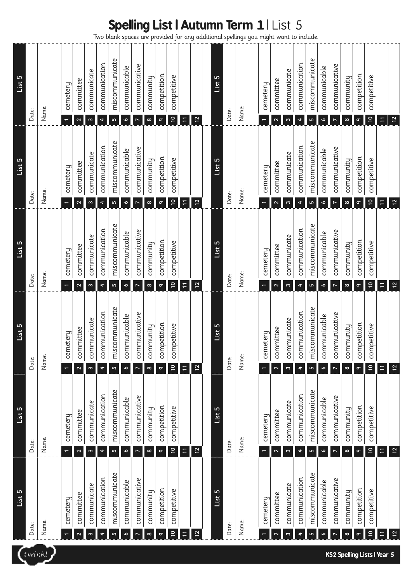| <b>Spelling List   Autumn Term 1   List 5</b> |  |  |  |
|-----------------------------------------------|--|--|--|
|-----------------------------------------------|--|--|--|

|  | Two blank spaces are provided for any additional spellings you might want to include. |
|--|---------------------------------------------------------------------------------------|
|--|---------------------------------------------------------------------------------------|

| LO<br><u>List</u> | Date: | Name: | cemetery                                 | committee                                           | communicate                                            | communication                         | miscommunicate                            | communicable                           | communicative      | community                         | competition                         | competitive                                        |                |                                  | List 5 | Date: | Name: | cemetery                             | committee                           | communicate                         | communication           | miscommunicate            | communicable                           | communicative                                     | community                         | competition                         | competitive                                             |        |                                    |
|-------------------|-------|-------|------------------------------------------|-----------------------------------------------------|--------------------------------------------------------|---------------------------------------|-------------------------------------------|----------------------------------------|--------------------|-----------------------------------|-------------------------------------|----------------------------------------------------|----------------|----------------------------------|--------|-------|-------|--------------------------------------|-------------------------------------|-------------------------------------|-------------------------|---------------------------|----------------------------------------|---------------------------------------------------|-----------------------------------|-------------------------------------|---------------------------------------------------------|--------|------------------------------------|
| $List$ 5          | Date: | Name: | $\leftarrow$<br>cemetery<br>$\leftarrow$ | $\mathbf{\Omega}$<br>committee<br>$\mathbf{\Omega}$ | $\boldsymbol{\infty}$<br>communicate<br>$\mathfrak{m}$ | 4<br>communication<br>4               | $\mathsf{L}\Omega$<br>miscommunicate<br>Б | $\bullet$<br>communicable<br>$\bullet$ | communicative      | $\infty$<br>community<br>$\infty$ | $\sigma$<br>competition<br>$\sigma$ | $\mathop{=}^{\circ}$<br>competitive<br>$\tilde{a}$ | $\Xi$<br>$\Xi$ | $\overline{c}$<br>$\overline{2}$ | List 5 | Date: | Name: | $\leftarrow$<br>cemetery             | $\mathbf{\Omega}$<br>committee<br>2 | $\infty$<br>communicate<br>$\infty$ | 4<br>communication<br>4 | LŊ<br>miscommunicate<br>١ | $\bullet$<br>communicable<br>$\bullet$ | $\overline{r}$<br>communicative<br>$\overline{ }$ | $\infty$<br>community<br>$\infty$ | $\sigma$<br>competition<br>$\sigma$ | $\overline{a}$<br>competitive<br>$\overline{a}$         | $\Xi$  | $\overline{12}$<br>$\overline{12}$ |
| $List$ 5          | Date: | Name: | cemetery<br>$\leftarrow$                 | committee<br>$\mathbf{\Omega}$                      | communicate<br>$\mathfrak{m}$                          | communication<br>4                    | miscommunicate<br>Б                       | communicable<br>$\bullet$              | communicative      | community<br>$\infty$             | competition<br>$\sigma$             | competitive<br>$\overline{a}$                      | $\overline{1}$ | $\overline{12}$                  | List 5 | Date: | Name: | cemetery<br>÷                        | committee<br>2                      | communicate<br>$\infty$             | communication<br>4      | miscommunicate<br>LO      | communicable<br>$\bullet$              | communicative<br>N                                | community<br>$\infty$             | competition<br>$\sigma$             | competitive<br>$\overline{a}$                           |        | $\overline{12}$                    |
| $List$ 5          | Date: | Name: | cemetery<br>$\overline{\phantom{0}}$     | committee<br>$\mathbf{\Omega}$                      | communicate<br>m                                       | communication<br>4                    | miscommunicate<br>ь                       | communicable<br>$\bullet$              | communicative      | community<br>$\infty$             | competition<br>$\sigma$             | competitive<br>$\tilde{a}$                         | $\Xi$          | 12                               | List 5 | Date: | Name: | cemetery                             | committee<br>$\mathbf{\Omega}$      | communicate<br>$\omega$             | communication<br>4      | miscommunicate<br>LO      | communicable<br>$\bullet$              | communicative                                     | community<br>$\infty$             | competition<br>$\sigma$             | competitive<br>$\tilde{a}$                              | $\Box$ | $\overline{12}$                    |
| $List$ 5          | Date: | Name: | cemetery<br>$\leftarrow$                 | committee<br>$\mathbf{\Omega}$                      | communicate<br>$\omega$                                | communication<br>$\ddot{\phantom{1}}$ | miscommunicate<br>LO                      | communicable<br>$\bullet$              | communicative<br>N | community<br>$\infty$             | competition<br>$\sigma$             | competitive<br>$\overline{\mathsf{C}}$             | $\Xi$          | $\overline{12}$                  | List 5 | Date: | Name: | cemetery<br>$\overline{\phantom{0}}$ | committee<br>$\mathbf{\Omega}$      | communicate<br>$\infty$             | communication<br>4      | miscommunicate<br>LO      | communicable<br>$\bullet$              | communicative<br>$\triangleright$                 | community<br>$\infty$             | competition<br>$\sigma$             | competitive<br>$\mathrel{\mathop{\mathsf{e}}\nolimits}$ | $\Xi$  | $\overline{2}$                     |
| $List$ 5          | Date: | Name: | cemetery                                 | committee<br>2                                      | communicate<br>m                                       | communication<br>4                    | miscommunicate<br>LŊ                      | communicable<br>۰                      | communicative      | community<br>$\infty$             | competition<br>$\sigma$             | competitive<br>$\overline{a}$                      | $\Xi$          | $\overline{12}$                  | List 5 | Date: | Name: | cemetery                             | committee<br>2                      | communicate<br>m                    | communication<br>4      | miscommunicate<br>Б       | communicable<br>$\bullet$              | communicative<br>$\overline{ }$                   | community<br>$\infty$             | competition<br>ᡋ                    | competitive<br>$\mathrel{\mathop{\mathsf{e}}\nolimits}$ | Ξ      | $\frac{1}{2}$                      |